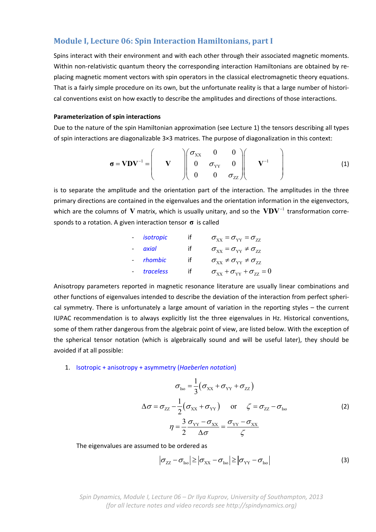# **Module I, Lecture 06: Spin Interaction Hamiltonians, part I**

Spins interact with their environment and with each other through their associated magnetic moments. Within non-relativistic quantum theory the corresponding interaction Hamiltonians are obtained by replacing magnetic moment vectors with spin operators in the classical electromagnetic theory equations. That is a fairly simple procedure on its own, but the unfortunate reality is that a large number of histori‐ cal conventions exist on how exactly to describe the amplitudes and directions of those interactions.

#### **Parameterization of spin interactions**

Due to the nature of the spin Hamiltonian approximation (see Lecture 1) the tensors describing all types of spin interactions are diagonalizable 3×3 matrices. The purpose of diagonalization in this context:

$$
\boldsymbol{\sigma} = \mathbf{V} \mathbf{D} \mathbf{V}^{-1} = \begin{pmatrix} \mathbf{V} & \begin{pmatrix} \boldsymbol{\sigma}_{XX} & \mathbf{0} & \mathbf{0} \\ \mathbf{0} & \boldsymbol{\sigma}_{YY} & \mathbf{0} \\ \mathbf{0} & \mathbf{0} & \boldsymbol{\sigma}_{ZZ} \end{pmatrix} & \mathbf{V}^{-1} \end{pmatrix}
$$
(1)

is to separate the amplitude and the orientation part of the interaction. The amplitudes in the three primary directions are contained in the eigenvalues and the orientation information in the eigenvectors, which are the columns of  $V$  matrix, which is usually unitary, and so the  $VDV^{-1}$  transformation corresponds to a rotation. A given interaction tensor **σ** is called

- isotropic if 
$$
\sigma_{XX} = \sigma_{YY} = \sigma_{ZZ}
$$
  
\n- axial if  $\sigma_{XX} = \sigma_{YY} \neq \sigma_{ZZ}$   
\n- rhombic if  $\sigma_{XX} \neq \sigma_{YY} \neq \sigma_{ZZ}$   
\n- traceless if  $\sigma_{XX} + \sigma_{YY} + \sigma_{ZZ} = 0$ 

Anisotropy parameters reported in magnetic resonance literature are usually linear combinations and other functions of eigenvalues intended to describe the deviation of the interaction from perfect spheri‐ cal symmetry. There is unfortunately a large amount of variation in the reporting styles – the current IUPAC recommendation is to always explicitly list the three eigenvalues in Hz. Historical conventions, some of them rather dangerous from the algebraic point of view, are listed below. With the exception of the spherical tensor notation (which is algebraically sound and will be useful later), they should be avoided if at all possible:

## 1. Isotropic + anisotropy + asymmetry (*Haeberlen notation*)

$$
\sigma_{\text{Iso}} = \frac{1}{3} (\sigma_{\text{XX}} + \sigma_{\text{YY}} + \sigma_{\text{ZZ}})
$$
  
\n
$$
\Delta \sigma = \sigma_{\text{ZZ}} - \frac{1}{2} (\sigma_{\text{XX}} + \sigma_{\text{YY}}) \quad \text{or} \quad \zeta = \sigma_{\text{ZZ}} - \sigma_{\text{Iso}}
$$
\n
$$
\eta = \frac{3}{2} \frac{\sigma_{\text{YY}} - \sigma_{\text{XX}}}{\Delta \sigma} = \frac{\sigma_{\text{YY}} - \sigma_{\text{XX}}}{\zeta}
$$
\n(2)

The eigenvalues are assumed to be ordered as

$$
\left|\sigma_{ZZ} - \sigma_{\text{Iso}}\right| \ge \left|\sigma_{XX} - \sigma_{\text{Iso}}\right| \ge \left|\sigma_{YY} - \sigma_{\text{Iso}}\right| \tag{3}
$$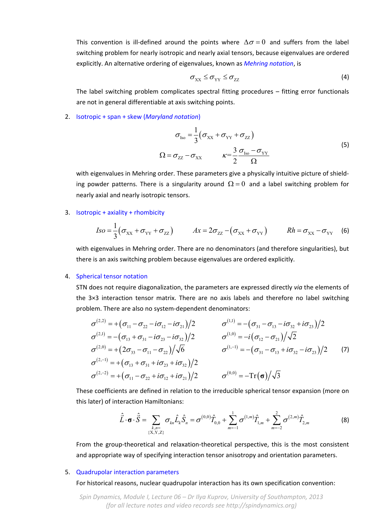This convention is ill-defined around the points where  $\Delta \sigma = 0$  and suffers from the label switching problem for nearly isotropic and nearly axial tensors, because eigenvalues are ordered explicitly. An alternative ordering of eigenvalues, known as *Mehring notation*, is

$$
\sigma_{XX} \leq \sigma_{YY} \leq \sigma_{ZZ} \tag{4}
$$

The label switching problem complicates spectral fitting procedures – fitting error functionals are not in general differentiable at axis switching points.

2. Isotropic + span + skew (*Maryland notation*)

$$
\sigma_{\text{Iso}} = \frac{1}{3} \left( \sigma_{\text{XX}} + \sigma_{\text{YY}} + \sigma_{\text{ZZ}} \right)
$$
  

$$
\Omega = \sigma_{\text{ZZ}} - \sigma_{\text{XX}} \qquad \kappa = \frac{3}{2} \frac{\sigma_{\text{Iso}} - \sigma_{\text{YY}}}{\Omega}
$$
 (5)

with eigenvalues in Mehring order. These parameters give a physically intuitive picture of shielding powder patterns. There is a singularity around  $\Omega = 0$  and a label switching problem for nearly axial and nearly isotropic tensors.

3. Isotropic + axiality + rhombicity

$$
Iso = \frac{1}{3}(\sigma_{XX} + \sigma_{YY} + \sigma_{ZZ}) \qquad Ax = 2\sigma_{ZZ} - (\sigma_{XX} + \sigma_{YY}) \qquad Rh = \sigma_{XX} - \sigma_{YY} \qquad (6)
$$

with eigenvalues in Mehring order. There are no denominators (and therefore singularities), but there is an axis switching problem because eigenvalues are ordered explicitly.

#### 4. Spherical tensor notation

STN does not require diagonalization, the parameters are expressed directly *via* the elements of the 3×3 interaction tensor matrix. There are no axis labels and therefore no label switching problem. There are also no system‐dependent denominators:

$$
\sigma^{(2,2)} = +(\sigma_{11} - \sigma_{22} - i\sigma_{12} - i\sigma_{21})/2 \qquad \sigma^{(1,1)} = -(\sigma_{31} - \sigma_{13} - i\sigma_{32} + i\sigma_{23})/2 \n\sigma^{(2,1)} = -(\sigma_{13} + \sigma_{31} - i\sigma_{23} - i\sigma_{32})/2 \qquad \sigma^{(1,0)} = -i(\sigma_{12} - \sigma_{21})/\sqrt{2} \n\sigma^{(2,0)} = +(2\sigma_{33} - \sigma_{11} - \sigma_{22})/\sqrt{6} \qquad \sigma^{(1,-1)} = -(\sigma_{31} - \sigma_{13} + i\sigma_{32} - i\sigma_{23})/2 \n\sigma^{(2,-1)} = +(\sigma_{13} + \sigma_{31} + i\sigma_{23} + i\sigma_{32})/2 \qquad \sigma^{(0,0)} = -\text{Tr}(\sigma)/\sqrt{3}
$$
\n(7)

These coefficients are defined in relation to the irreducible spherical tensor expansion (more on this later) of interaction Hamiltonians:

$$
\hat{\vec{L}} \cdot \boldsymbol{\sigma} \cdot \hat{\vec{S}} = \sum_{\substack{k,n=1\\ \{X,Y,Z\}}} \sigma_{kn} \hat{L}_k \hat{S}_n = \sigma^{(0,0)} \hat{T}_{0,0} + \sum_{m=-1}^1 \sigma^{(1,m)} \hat{T}_{1,m} + \sum_{m=-2}^2 \sigma^{(2,m)} \hat{T}_{2,m}
$$
(8)

From the group-theoretical and relaxation-theoretical perspective, this is the most consistent and appropriate way of specifying interaction tensor anisotropy and orientation parameters.

#### 5. Quadrupolar interaction parameters

For historical reasons, nuclear quadrupolar interaction has its own specification convention:

*Spin Dynamics, Module I, Lecture 06 – Dr Ilya Kuprov, University of Southampton, 2013 (for all lecture notes and video records see http://spindynamics.org)*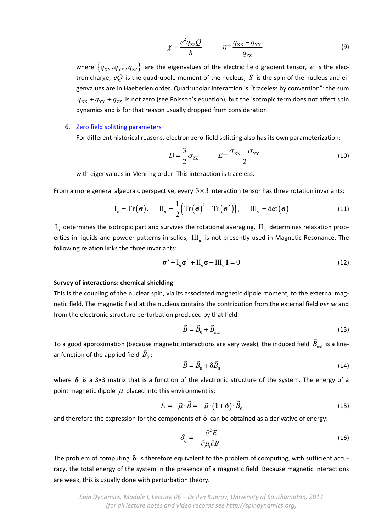$$
\chi = \frac{e^2 q_{ZZ} Q}{\hbar} \qquad \eta = \frac{q_{xx} - q_{yy}}{q_{zz}} \tag{9}
$$

where  $\{q_{xx}, q_{yy}, q_{zz}\}\$  are the eigenvalues of the electric field gradient tensor, *e* is the electron charge,  $eQ$  is the quadrupole moment of the nucleus, *S* is the spin of the nucleus and eigenvalues are in Haeberlen order. Quadrupolar interaction is "traceless by convention": the sum  $q_{xx} + q_{yy} + q_{zz}$  is not zero (see Poisson's equation), but the isotropic term does not affect spin dynamics and is for that reason usually dropped from consideration.

### 6. Zero field splitting parameters

For different historical reasons, electron zero-field splitting also has its own parameterization:

$$
D = \frac{3}{2}\sigma_{ZZ} \qquad E = \frac{\sigma_{XX} - \sigma_{YY}}{2} \tag{10}
$$

with eigenvalues in Mehring order. This interaction is traceless.

From a more general algebraic perspective, every  $3 \times 3$  interaction tensor has three rotation invariants:

$$
I_{\sigma} = Tr(\sigma), \qquad II_{\sigma} = \frac{1}{2} (Tr(\sigma)^{2} - Tr(\sigma^{2})), \qquad III_{\sigma} = det(\sigma)
$$
\n(11)

 $I_{\sigma}$  determines the isotropic part and survives the rotational averaging,  $II_{\sigma}$  determines relaxation properties in liquids and powder patterns in solids,  $III_{\sigma}$  is not presently used in Magnetic Resonance. The following relation links the three invariants:

$$
\sigma^3 - I_{\sigma}\sigma^2 + II_{\sigma}\sigma - III_{\sigma}1 = 0
$$
\n(12)

### **Survey of interactions: chemical shielding**

This is the coupling of the nuclear spin, via its associated magnetic dipole moment, to the external magnetic field. The magnetic field at the nucleus contains the contribution from the external field *per se* and from the electronic structure perturbation produced by that field:

$$
\vec{B} = \vec{B}_0 + \vec{B}_{\text{ind}}
$$
 (13)

To a good approximation (because magnetic interactions are very weak), the induced field  $\vec{B}_{\text{ind}}$  is a line-To a good approximation (because<br>ar function of the applied field  $\vec{B}_0$ :

$$
\vec{B} = \vec{B}_0 + \delta \vec{B}_0 \tag{14}
$$

where  $\delta$  is a 3×3 matrix that is a function of the electronic structure of the system. The energy of a  $\frac{1}{2}$  is the contract of the contract of the second point magnetic dipole  $\vec{\mu}$  placed into this environment is:

$$
E = -\vec{\mu} \cdot \vec{B} = -\vec{\mu} \cdot (1 + \delta) \cdot \vec{B}_0
$$
\n(15)

and therefore the expression for the components of  $\delta$  can be obtained as a derivative of energy:

$$
\delta_{ij} = -\frac{\partial^2 E}{\partial \mu_i \partial B_j} \tag{16}
$$

The problem of computing  $\delta$  is therefore equivalent to the problem of computing, with sufficient accuracy, the total energy of the system in the presence of a magnetic field. Because magnetic interactions are weak, this is usually done with perturbation theory.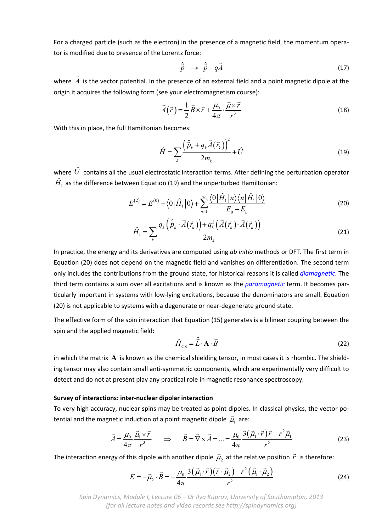For a charged particle (such as the electron) in the presence of a magnetic field, the momentum operator is modified due to presence of the Lorentz force:

$$
\hat{\vec{p}} \rightarrow \hat{\vec{p}} + q\vec{A} \tag{17}
$$

where  $\vec{A}$  is the vector potential. In the presence of an external field and a point magnetic dipole at the origin it acquires the following form (see your electromagnetism course):

$$
\vec{A}(\vec{r}) = \frac{1}{2}\vec{B} \times \vec{r} + \frac{\mu_0}{4\pi} \cdot \frac{\vec{\mu} \times \vec{r}}{r^3}
$$
(18)

With this in place, the full Hamiltonian becomes:

$$
\hat{H} = \sum_{k} \frac{\left(\hat{\vec{p}}_k + q_k \vec{A}\left(\vec{r}_k\right)\right)^2}{2m_k} + \hat{U}
$$
\n(19)

where  $\hat{U}$  contains all the usual electrostatic interaction terms. After defining the perturbation operator  $\hat{H}_1$  as the difference between Equation (19) and the unperturbed Hamiltonian:

$$
E^{(2)} = E^{(0)} + \langle 0 | \hat{H}_1 | 0 \rangle + \sum_{n=1}^{\infty} \frac{\langle 0 | \hat{H}_1 | n \rangle \langle n | \hat{H}_1 | 0 \rangle}{E_0 - E_n}
$$
(20)

$$
\hat{H}_1 = \sum_k \frac{q_k \left(\vec{\hat{p}}_k \cdot \vec{A}(\vec{r}_k)\right) + q_k^2 \left(\vec{A}(\vec{r}_k) \cdot \vec{A}(\vec{r}_k)\right)}{2m_k} \tag{21}
$$

In practice, the energy and its derivatives are computed using *ab initio* methods or DFT. The first term in Equation (20) does not depend on the magnetic field and vanishes on differentiation. The second term only includes the contributions from the ground state, for historical reasons it is called *diamagnetic*. The third term contains a sum over all excitations and is known as the *paramagnetic* term. It becomes par‐ ticularly important in systems with low‐lying excitations, because the denominators are small. Equation (20) is not applicable to systems with a degenerate or near‐degenerate ground state.

The effective form of the spin interaction that Equation (15) generates is a bilinear coupling between the spin and the applied magnetic field:

$$
\hat{H}_{\text{CS}} = \hat{\vec{L}} \cdot \mathbf{A} \cdot \vec{B} \tag{22}
$$

in which the matrix  $\bf{A}$  is known as the chemical shielding tensor, in most cases it is rhombic. The shielding tensor may also contain small anti‐symmetric components, which are experimentally very difficult to detect and do not at present play any practical role in magnetic resonance spectroscopy.

### **Survey of interactions: inter‐nuclear dipolar interaction**

To very high accuracy, nuclear spins may be treated as point dipoles. In classical physics, the vector po‐ tential and the magnetic induction of a point magnetic dipole  $\vec{\mu}_1$  are:

$$
\vec{A} = \frac{\mu_0}{4\pi} \frac{\vec{\mu}_1 \times \vec{r}}{r^3} \qquad \Rightarrow \qquad \vec{B} = \vec{\nabla} \times \vec{A} = \dots = \frac{\mu_0}{4\pi} \frac{3(\vec{\mu}_1 \cdot \vec{r})\vec{r} - r^2 \vec{\mu}_1}{r^5}
$$
(23)

The interaction energy of this dipole with another dipole  $\vec{\mu}_2$  at the relative position  $\vec{r}\,$  is therefore:

$$
E = -\vec{\mu}_2 \cdot \vec{B} = -\frac{\mu_0}{4\pi} \frac{3(\vec{\mu}_1 \cdot \vec{r})(\vec{r} \cdot \vec{\mu}_2) - r^2(\vec{\mu}_1 \cdot \vec{\mu}_2)}{r^5}
$$
(24)

*Spin Dynamics, Module I, Lecture 06 – Dr Ilya Kuprov, University of Southampton, 2013 (for all lecture notes and video records see http://spindynamics.org)*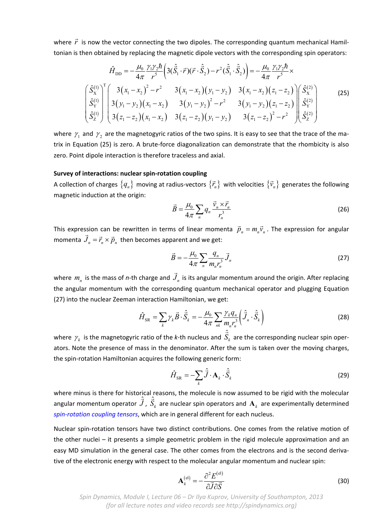where  $\vec{r}$  is now the vector connecting the two dipoles. The corresponding quantum mechanical Hamiltonian is then obtained by replacing the magnetic dipole vectors with the corresponding spin operators:

$$
\hat{H}_{\text{DD}} = -\frac{\mu_0}{4\pi} \frac{\gamma_1 \gamma_2 \hbar}{r^5} \left( 3(\hat{\vec{S}}_1 \cdot \vec{r})(\vec{r} \cdot \hat{\vec{S}}_2) - r^2 (\hat{\vec{S}}_1 \cdot \hat{\vec{S}}_2) \right) = -\frac{\mu_0}{4\pi} \frac{\gamma_1 \gamma_2 \hbar}{r^5} \times \n\left( \frac{\hat{S}_X^{(1)}}{\hat{S}_Y^{(1)}} \right)^T \left( 3(x_1 - x_2)^2 - r^2 \right) \left( 3(x_1 - x_2)(y_1 - y_2) \right) \left( 3(x_1 - x_2)(z_1 - z_2) \right) \left( \frac{\hat{S}_X^{(2)}}{\hat{S}_Y^{(1)}} \right) \left( 3(y_1 - y_2)(x_1 - x_2) \right) \left( 3(y_1 - y_2)^2 - r^2 \right) \left( 3(y_1 - y_2)(z_1 - z_2) \right) \left( \frac{\hat{S}_X^{(2)}}{\hat{S}_Y^{(2)}} \right) \left( 3(z_1 - z_2)(x_1 - x_2) \right) \left( 3(z_1 - z_2)(y_1 - y_2) \right) \left( 3(z_1 - z_2)^2 - r^2 \right) \left( \frac{\hat{S}_X^{(2)}}{\hat{S}_Z^{(2)}} \right) \tag{25}
$$

where  $\gamma_1$  and  $\gamma_2$  are the magnetogyric ratios of the two spins. It is easy to see that the trace of the matrix in Equation (25) is zero. A brute-force diagonalization can demonstrate that the rhombicity is also zero. Point dipole interaction is therefore traceless and axial.

#### **Survey of interactions: nuclear spin‐rotation coupling**

A collection of charges  $\{q_n\}$  moving at radius-vectors  $\{\vec{r}_n\}$  with velocities  $\{\vec{v}_n\}$  generates the following magnetic induction at the origin:

$$
\vec{B} = \frac{\mu_0}{4\pi} \sum_n q_n \frac{\vec{v}_n \times \vec{r}_n}{r_n^3}
$$
 (26)

This expression can be rewritten in terms of linear momenta  $\vec{p}_n = m_n \vec{v}_n$ . The expression for angular momenta  $\hat{J}_n = \vec{r}_n \times \vec{p}_n$  then becomes apparent and we get:

$$
\vec{B} = -\frac{\mu_0}{4\pi} \sum_n \frac{q_n}{m_n r_n^3} \vec{J}_n
$$
\n(27)

where  $m_n$  is the mass of *n*-th charge and  $\vec{J}_n$  is its angular momentum around the origin. After replacing the angular momentum with the corresponding quantum mechanical operator and plugging Equation (27) into the nuclear Zeeman interaction Hamiltonian, we get:

$$
\hat{H}_{\text{SR}} = \sum_{k} \gamma_k \vec{B} \cdot \hat{\vec{S}}_k = -\frac{\mu_0}{4\pi} \sum_{nk} \frac{\gamma_k q_n}{m_n r_n^3} \left( \hat{\vec{J}}_n \cdot \hat{\vec{S}}_k \right)
$$
(28)

where  $\gamma_k$  is the magnetogyric ratio of the *k*-th nucleus and  $\hat{\vec{S}}_k$  are the corresponding nuclear spin operators. Note the presence of mass in the denominator. After the sum is taken over the moving charges, the spin‐rotation Hamiltonian acquires the following generic form:

$$
\hat{H}_{\text{SR}} = -\sum_{k} \hat{\vec{J}} \cdot \mathbf{A}_{k} \cdot \hat{\vec{S}}_{k}
$$
\n(29)

where minus is there for historical reasons, the molecule is now assumed to be rigid with the molecular  $\hat{A}$ angular momentum operator  $\hat{J}$ ,  $\hat{S}_k$  are nuclear spin operators and  $\mathbf{A}_k$  are experimentally determined *spin‐rotation coupling tensors*, which are in general different for each nucleus.

Nuclear spin‐rotation tensors have two distinct contributions. One comes from the relative motion of the other nuclei – it presents a simple geometric problem in the rigid molecule approximation and an easy MD simulation in the general case. The other comes from the electrons and is the second derivative of the electronic energy with respect to the molecular angular momentum and nuclear spin:

$$
\mathbf{A}_k^{(\text{el})} = -\frac{\partial^2 E^{(\text{el})}}{\partial \vec{J} \partial \vec{S}}
$$
(30)

*Spin Dynamics, Module I, Lecture 06 – Dr Ilya Kuprov, University of Southampton, 2013 (for all lecture notes and video records see http://spindynamics.org)*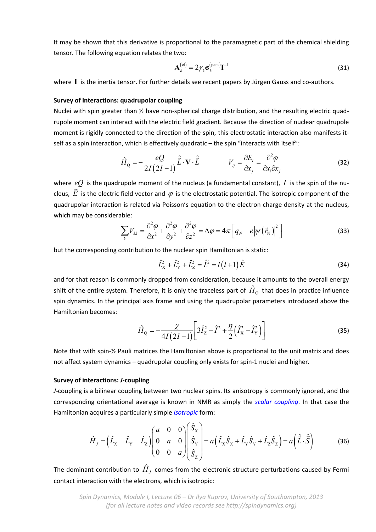It may be shown that this derivative is proportional to the paramagnetic part of the chemical shielding tensor. The following equation relates the two:

$$
\mathbf{A}_k^{(\text{el})} = 2\gamma_k \mathbf{\sigma}_k^{(\text{para})} \mathbf{I}^{-1}
$$
\n(31)

where **I** is the inertia tensor. For further details see recent papers by Jürgen Gauss and co-authors.

#### **Survey of interactions: quadrupolar coupling**

Nuclei with spin greater than ½ have non-spherical charge distribution, and the resulting electric quadrupole moment can interact with the electric field gradient. Because the direction of nuclear quadrupole moment is rigidly connected to the direction of the spin, this electrostatic interaction also manifests it‐ self as a spin interaction, which is effectively quadratic – the spin "interacts with itself":

$$
\hat{H}_{Q} = -\frac{eQ}{2I(2I-1)}\hat{\vec{L}}\cdot\mathbf{V}\cdot\hat{\vec{L}} \qquad V_{ij} = \frac{\partial E_{i}}{\partial x_{j}} = \frac{\partial^{2}\varphi}{\partial x_{i}\partial x_{j}}
$$
(32)

where  $eQ$  is the quadrupole moment of the nucleus (a fundamental constant),  $I$  is the spin of the nuwhere  $e_{\mathcal{L}}$  is the quadrupole moment of the nucleus (a fundamental constant), T is the spirror the nu-<br>cleus,  $\vec{E}$  is the electric field vector and  $\varphi$  is the electrostatic potential. The isotropic component of quadrupolar interaction is related via Poisson's equation to the electron charge density at the nucleus, which may be considerable:

$$
\sum_{k} V_{kk} = \frac{\partial^2 \varphi}{\partial x^2} + \frac{\partial^2 \varphi}{\partial y^2} + \frac{\partial^2 \varphi}{\partial z^2} = \Delta \varphi = 4\pi \left[ q_N - e \left| \psi \left( \vec{r}_N \right) \right|^2 \right] \tag{33}
$$

but the corresponding contribution to the nuclear spin Hamiltonian is static:

$$
\hat{L}_X^2 + \hat{L}_Y^2 + \hat{L}_Z^2 = \hat{L}^2 = l(l+1)\hat{E}
$$
 (34)

and for that reason is commonly dropped from consideration, because it amounts to the overall energy shift of the entire system. Therefore, it is only the traceless part of  $\hat{H}_{\alpha}$  that does in practice influence spin dynamics. In the principal axis frame and using the quadrupolar parameters introduced above the Hamiltonian becomes:

$$
\hat{H}_{\rm Q} = -\frac{\chi}{4I(2I-1)} \left[ 3\hat{I}_{\rm Z}^2 - \hat{I}^2 + \frac{\eta}{2} \left( \hat{I}_{\rm X}^2 - \hat{I}_{\rm Y}^2 \right) \right]
$$
(35)

Note that with spin‐½ Pauli matrices the Hamiltonian above is proportional to the unit matrix and does not affect system dynamics – quadrupolar coupling only exists for spin‐1 nuclei and higher.

## **Survey of interactions:** *J***‐coupling**

*J*‐coupling is a bilinear coupling between two nuclear spins. Its anisotropy is commonly ignored, and the corresponding orientational average is known in NMR as simply the *scalar coupling*. In that case the Hamiltonian acquires a particularly simple *isotropic* form:

$$
\hat{H}_J = \begin{pmatrix} \hat{L}_X & \hat{L}_Y & \hat{L}_Z \end{pmatrix} \begin{pmatrix} a & 0 & 0 \\ 0 & a & 0 \\ 0 & 0 & a \end{pmatrix} \begin{pmatrix} \hat{S}_X \\ \hat{S}_Y \\ \hat{S}_Z \end{pmatrix} = a \left( \hat{L}_X \hat{S}_X + \hat{L}_Y \hat{S}_Y + \hat{L}_Z \hat{S}_Z \right) = a \left( \hat{L} \cdot \hat{S} \right) \tag{36}
$$

The dominant contribution to  $\hat{H}_I$  comes from the electronic structure perturbations caused by Fermi contact interaction with the electrons, which is isotropic: